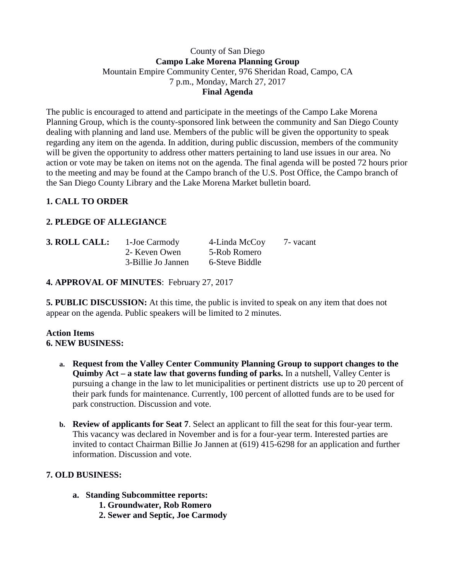### County of San Diego **Campo Lake Morena Planning Group** Mountain Empire Community Center, 976 Sheridan Road, Campo, CA 7 p.m., Monday, March 27, 2017 **Final Agenda**

The public is encouraged to attend and participate in the meetings of the Campo Lake Morena Planning Group, which is the county-sponsored link between the community and San Diego County dealing with planning and land use. Members of the public will be given the opportunity to speak regarding any item on the agenda. In addition, during public discussion, members of the community will be given the opportunity to address other matters pertaining to land use issues in our area. No action or vote may be taken on items not on the agenda. The final agenda will be posted 72 hours prior to the meeting and may be found at the Campo branch of the U.S. Post Office, the Campo branch of the San Diego County Library and the Lake Morena Market bulletin board.

# **1. CALL TO ORDER**

# **2. PLEDGE OF ALLEGIANCE**

| 3. ROLL CALL: | 1-Joe Carmody      | 4-Linda McCoy  | 7 - vacant |
|---------------|--------------------|----------------|------------|
|               | 2- Keven Owen      | 5-Rob Romero   |            |
|               | 3-Billie Jo Jannen | 6-Steve Biddle |            |

**4. APPROVAL OF MINUTES**: February 27, 2017

**5. PUBLIC DISCUSSION:** At this time, the public is invited to speak on any item that does not appear on the agenda. Public speakers will be limited to 2 minutes.

#### **Action Items 6. NEW BUSINESS:**

- **a. Request from the Valley Center Community Planning Group to support changes to the Quimby Act – a state law that governs funding of parks.** In a nutshell, Valley Center is pursuing a change in the law to let municipalities or pertinent districts use up to 20 percent of their park funds for maintenance. Currently, 100 percent of allotted funds are to be used for park construction. Discussion and vote.
- **b. Review of applicants for Seat 7**. Select an applicant to fill the seat for this four-year term. This vacancy was declared in November and is for a four-year term. Interested parties are invited to contact Chairman Billie Jo Jannen at (619) 415-6298 for an application and further information. Discussion and vote.

### **7. OLD BUSINESS:**

- **a. Standing Subcommittee reports:**
	- **1. Groundwater, Rob Romero**
	- **2. Sewer and Septic, Joe Carmody**